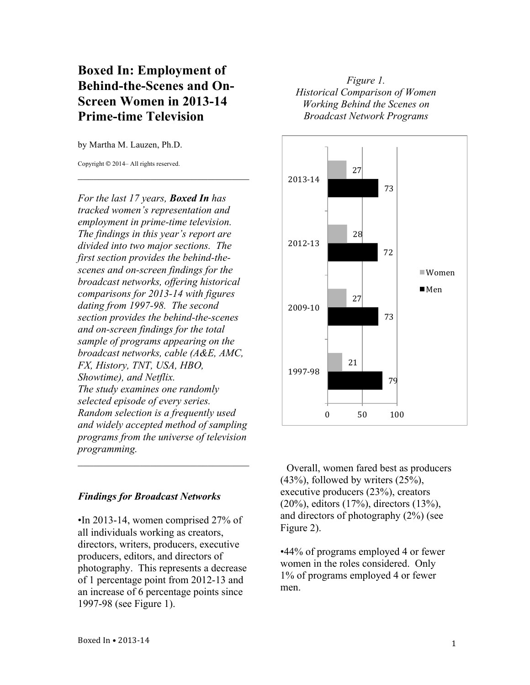# **Boxed In: Employment of Behind-the-Scenes and On-Screen Women in 2013-14 Prime-time Television**

 $\mathcal{L}_\text{max}$  , where  $\mathcal{L}_\text{max}$  is the set of the set of the set of the set of the set of the set of the set of the set of the set of the set of the set of the set of the set of the set of the set of the set of the se

by Martha M. Lauzen, Ph.D.

Copyright © 2014– All rights reserved.

*For the last 17 years, Boxed In has tracked women's representation and employment in prime-time television. The findings in this year's report are divided into two major sections. The first section provides the behind-thescenes and on-screen findings for the broadcast networks, offering historical comparisons for 2013-14 with figures dating from 1997-98. The second section provides the behind-the-scenes and on-screen findings for the total sample of programs appearing on the broadcast networks, cable (A&E, AMC, FX, History, TNT, USA, HBO, Showtime), and Netflix. The study examines one randomly selected episode of every series. Random selection is a frequently used and widely accepted method of sampling programs from the universe of television programming.*  $\mathcal{L}_\text{max}$  , where  $\mathcal{L}_\text{max}$  is the set of the set of the set of the set of the set of the set of the set of the set of the set of the set of the set of the set of the set of the set of the set of the set of the se

## *Findings for Broadcast Networks*

•In 2013-14, women comprised 27% of all individuals working as creators, directors, writers, producers, executive producers, editors, and directors of photography. This represents a decrease of 1 percentage point from 2012-13 and an increase of 6 percentage points since 1997-98 (see Figure 1).

# *Figure 1. Historical Comparison of Women Working Behind the Scenes on Broadcast Network Programs*



Overall, women fared best as producers (43%), followed by writers (25%), executive producers (23%), creators (20%), editors (17%), directors (13%), and directors of photography (2%) (see Figure 2).

•44% of programs employed 4 or fewer women in the roles considered. Only 1% of programs employed 4 or fewer men.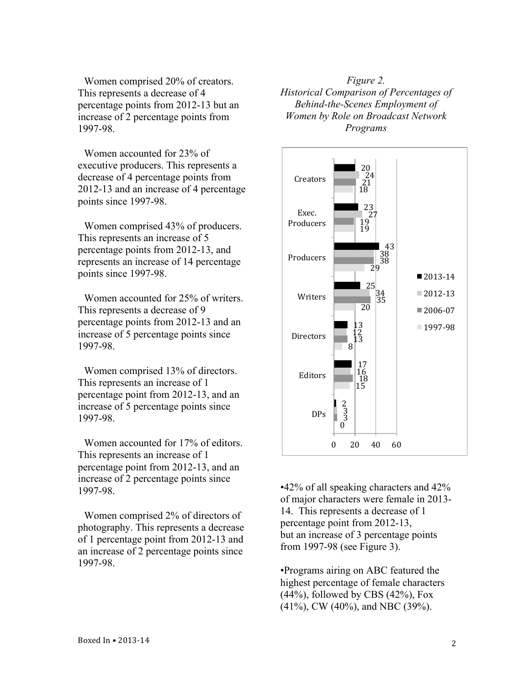Women comprised 20% of creators. This represents a decrease of 4 percentage points from 2012-13 but an increase of 2 percentage points from 1997-98.

Women accounted for 23% of executive producers. This represents a decrease of 4 percentage points from 2012-13 and an increase of 4 percentage points since 1997-98.

Women comprised 43% of producers. This represents an increase of 5 percentage points from 2012-13, and represents an increase of 14 percentage points since 1997-98.

Women accounted for 25% of writers. This represents a decrease of 9 percentage points from 2012-13 and an increase of 5 percentage points since 1997-98.

Women comprised 13% of directors. This represents an increase of 1 percentage point from 2012-13, and an increase of 5 percentage points since 1997-98.

Women accounted for 17% of editors. This represents an increase of 1 percentage point from 2012-13, and an increase of 2 percentage points since 1997-98.

Women comprised 2% of directors of photography. This represents a decrease of 1 percentage point from 2012-13 and an increase of 2 percentage points since 1997-98.

*Figure 2. Historical Comparison of Percentages of Behind-the-Scenes Employment of Women by Role on Broadcast Network Programs*



•42% of all speaking characters and 42% of major characters were female in 2013- 14. This represents a decrease of 1 percentage point from 2012-13, but an increase of 3 percentage points from 1997-98 (see Figure 3).

•Programs airing on ABC featured the highest percentage of female characters  $(44\%)$ , followed by CBS  $(42\%)$ , Fox (41%), CW (40%), and NBC (39%).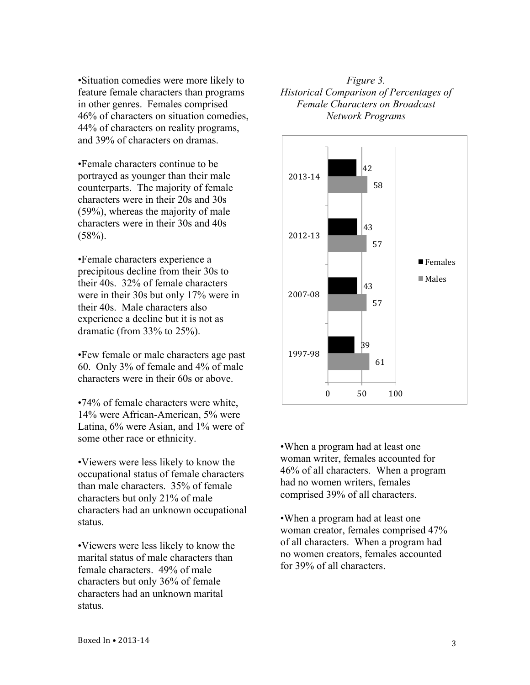•Situation comedies were more likely to feature female characters than programs in other genres. Females comprised 46% of characters on situation comedies, 44% of characters on reality programs, and 39% of characters on dramas.

•Female characters continue to be portrayed as younger than their male counterparts. The majority of female characters were in their 20s and 30s (59%), whereas the majority of male characters were in their 30s and 40s  $(58%)$ .

•Female characters experience a precipitous decline from their 30s to their 40s. 32% of female characters were in their 30s but only 17% were in their 40s. Male characters also experience a decline but it is not as dramatic (from 33% to 25%).

•Few female or male characters age past 60. Only 3% of female and 4% of male characters were in their 60s or above.

•74% of female characters were white, 14% were African-American, 5% were Latina, 6% were Asian, and 1% were of some other race or ethnicity.

•Viewers were less likely to know the occupational status of female characters than male characters. 35% of female characters but only 21% of male characters had an unknown occupational status.

•Viewers were less likely to know the marital status of male characters than female characters. 49% of male characters but only 36% of female characters had an unknown marital status.

### *Figure 3. Historical Comparison of Percentages of Female Characters on Broadcast Network Programs*



•When a program had at least one woman writer, females accounted for 46% of all characters. When a program had no women writers, females comprised 39% of all characters.

•When a program had at least one woman creator, females comprised 47% of all characters. When a program had no women creators, females accounted for 39% of all characters.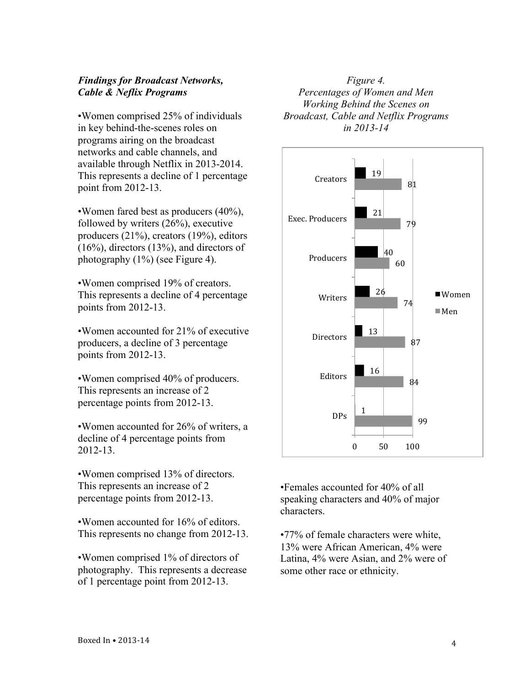#### *Findings for Broadcast Networks, Cable & Neflix Programs*

•Women comprised 25% of individuals in key behind-the-scenes roles on programs airing on the broadcast networks and cable channels, and available through Netflix in 2013-2014. This represents a decline of 1 percentage point from 2012-13.

•Women fared best as producers (40%), followed by writers (26%), executive producers (21%), creators (19%), editors (16%), directors (13%), and directors of photography (1%) (see Figure 4).

•Women comprised 19% of creators. This represents a decline of 4 percentage points from 2012-13.

•Women accounted for 21% of executive producers, a decline of 3 percentage points from 2012-13.

•Women comprised 40% of producers. This represents an increase of 2 percentage points from 2012-13.

•Women accounted for 26% of writers, a decline of 4 percentage points from 2012-13.

•Women comprised 13% of directors. This represents an increase of 2 percentage points from 2012-13.

•Women accounted for 16% of editors. This represents no change from 2012-13.

•Women comprised 1% of directors of photography. This represents a decrease of 1 percentage point from 2012-13.

*Figure 4. Percentages of Women and Men Working Behind the Scenes on Broadcast, Cable and Netflix Programs in 2013-14*



•Females accounted for 40% of all speaking characters and 40% of major characters.

•77% of female characters were white, 13% were African American, 4% were Latina, 4% were Asian, and 2% were of some other race or ethnicity.